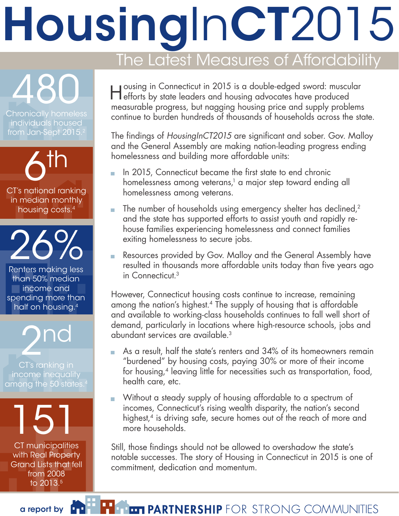# HousingInCT2015

# The Latest Measures of Affordability

Housing in Connecticut in 2015 is a double-edged sword: muscular efforts by state leaders and housing advocates have produced measurable progress, but nagging housing price and supply problems continue to burden hundreds of thousands of households across the state.

The findings of *HousingInCT2015* are significant and sober. Gov. Malloy and the General Assembly are making nation-leading progress ending homelessness and building more affordable units:

- In 2015, Connecticut became the first state to end chronic homelessness among veterans,<sup>1</sup> a major step toward ending all homelessness among veterans.
- The number of households using emergency shelter has declined,<sup>2</sup> and the state has supported efforts to assist youth and rapidly rehouse families experiencing homelessness and connect families exiting homelessness to secure jobs.
- Resources provided by Gov. Malloy and the General Assembly have resulted in thousands more affordable units today than five years ago in Connecticut.3

However, Connecticut housing costs continue to increase, remaining among the nation's highest.4 The supply of housing that is affordable and available to working-class households continues to fall well short of demand, particularly in locations where high-resource schools, jobs and abundant services are available.3

- As a result, half the state's renters and 34% of its homeowners remain "burdened" by housing costs, paying 30% or more of their income for housing,<sup>4</sup> leaving little for necessities such as transportation, food, health care, etc.
- Without a steady supply of housing affordable to a spectrum of incomes, Connecticut's rising wealth disparity, the nation's second highest,<sup>4</sup> is driving safe, secure homes out of the reach of more and more households.

Still, those findings should not be allowed to overshadow the state's notable successes. The story of Housing in Connecticut in 2015 is one of commitment, dedication and momentum.

Chronically homeless individuals housed from Jan-Sept 2015.

480

 $6<sup>th</sup>$ CT's national ranking in median monthly housing costs.4

26%

Renters making less than 50% median **income** and spending more than half on housing.4

**D**nd

CT's ranking in income inequality among the 50 states.<sup>4</sup>

151

CT municipalities with Real Property Grand Lists that fell from 2008 to 2013.5

a report by **THE FRIE PARTNERSHIP** FOR STRONG COMMUNITIES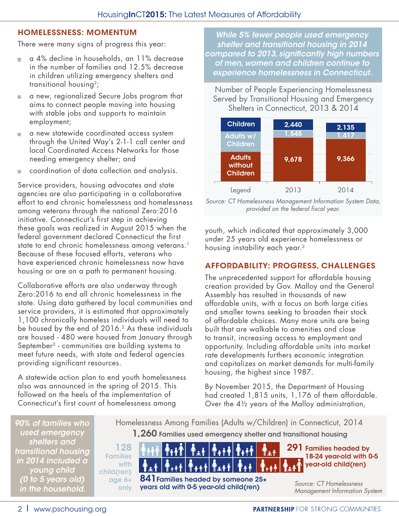### HOMELESSNESS: MOMENTUM

There were many signs of progress this year:

- a 4% decline in households, an 11% decrease in the number of families and 12.5% decrease in children utilizing emergency shelters and transitional housing<sup>2</sup>;
- a new, regionalized Secure Jobs program that aims to connect people moving into housing with stable jobs and supports to maintain employment;
- a new statewide coordinated access system through the United Way's 2-1-1 call center and local Coordinated Access Networks for those needing emergency shelter; and
- coordination of data collection and analysis.

Service providers, housing advocates and state agencies are also participating in a collaborative effort to end chronic homelessness and homelessness among veterans through the national Zero:2016 initiative. Connecticut's first step in achieving these goals was realized in August 2015 when the federal government declared Connecticut the first state to end chronic homelessness among veterans.<sup>1</sup> Because of these focused efforts, veterans who have experienced chronic homelessness now have housing or are on a path to permanent housing.

Collaborative efforts are also underway through Zero:2016 to end all chronic homelessness in the state. Using data gathered by local communities and service providers, it is estimated that approximately 1,100 chronically homeless individuals will need to be housed by the end of 2016.<sup>2</sup> As these individuals are housed - 480 were housed from January through September2 - communities are building systems to meet future needs, with state and federal agencies providing significant resources.

A statewide action plan to end youth homelessness also was announced in the spring of 2015. This followed on the heels of the implementation of Connecticut's first count of homelessness among

*While 5% fewer people used emergency shelter and transitional housing in 2014 compared to 2013, significantly high numbers of men, women and children continue to experience homelessness in Connecticut.* 

Number of People Experiencing Homelessness Served by Transitional Housing and Emergency Shelters in Connecticut, 2013 & 2014



*Source: CT Homelessness Management Information System Data, provided on the federal fiscal year.* 

youth, which indicated that approximately 3,000 under 25 years old experience homelessness or housing instability each year.2

#### AFFORDABILITY: PROGRESS, CHALLENGES

The unprecedented support for affordable housing creation provided by Gov. Malloy and the General Assembly has resulted in thousands of new affordable units, with a focus on both large cities and smaller towns seeking to broaden their stock of affordable choices. Many more units are being built that are walkable to amenities and close to transit, increasing access to employment and opportunity. Including affordable units into market rate developments furthers economic integration and capitalizes on market demands for multi-family housing, the highest since 1987.

By November 2015, the Department of Housing had created 1,815 units, 1,176 of them affordable. Over the 4½ years of the Malloy administration,

*90% of families who used emergency shelters and transitional housing in 2014 included a young child (0 to 5 years old) in the household.*

1,260 Families used emergency shelter and transitional housing Homelessness Among Families (Adults w/Children) in Connecticut, 2014



2 I www.pschousing.org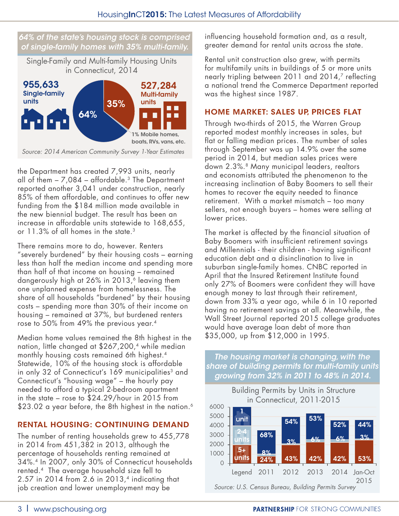#### *64% of the state's housing stock is comprised of single-family homes with 35% multi-family.*

Single-Family and Multi-family Housing Units in Connecticut, 2014



*Source: 2014 American Community Survey 1-Year Estimates*

the Department has created 7,993 units, nearly all of them  $-7,084$  – affordable.<sup>3</sup> The Department reported another 3,041 under construction, nearly 85% of them affordable, and continues to offer new funding from the \$184 million made available in the new biennial budget. The result has been an increase in affordable units statewide to 168,655, or 11.3% of all homes in the state.<sup>3</sup>

There remains more to do, however. Renters "severely burdened" by their housing costs – earning less than half the median income and spending more than half of that income on housing – remained dangerously high at 26% in 2013,<sup>6</sup> leaving them one unplanned expense from homelessness. The share of all households "burdened" by their housing costs – spending more than 30% of their income on housing – remained at 37%, but burdened renters rose to 50% from 49% the previous year.4

Median home values remained the 8th highest in the nation, little changed at \$267,200,<sup>4</sup> while median monthly housing costs remained 6th highest.4 Statewide, 10% of the housing stock is affordable in only 32 of Connecticut's 169 municipalities<sup>3</sup> and Connecticut's "housing wage" – the hourly pay needed to afford a typical 2-bedroom apartment in the state – rose to \$24.29/hour in 2015 from \$23.02 a year before, the 8th highest in the nation.<sup>6</sup>

# RENTAL HOUSING: CONTINUING DEMAND

The number of renting households grew to 455,778 in 2014 from 451,382 in 2013, although the percentage of households renting remained at 34%.4 In 2007, only 30% of Connecticut households rented.4 The average household size fell to  $2.57$  in 2014 from 2.6 in 2013,<sup>4</sup> indicating that job creation and lower unemployment may be

influencing household formation and, as a result, greater demand for rental units across the state.

Rental unit construction also grew, with permits for multifamily units in buildings of 5 or more units nearly tripling between 2011 and 2014,<sup>7</sup> reflecting a national trend the Commerce Department reported was the highest since 1987.

## HOME MARKET: SALES UP, PRICES FLAT

Through two-thirds of 2015, the Warren Group reported modest monthly increases in sales, but flat or falling median prices. The number of sales through September was up 14.9% over the same period in 2014, but median sales prices were down 2.3%.<sup>8</sup> Many municipal leaders, realtors and economists attributed the phenomenon to the increasing inclination of Baby Boomers to sell their homes to recover the equity needed to finance retirement. With a market mismatch – too many sellers, not enough buyers – homes were selling at lower prices.

The market is affected by the financial situation of Baby Boomers with insufficient retirement savings and Millennials - their children - having significant education debt and a disinclination to live in suburban single-family homes. CNBC reported in April that the Insured Retirement Institute found only 27% of Boomers were confident they will have enough money to last through their retirement, down from 33% a year ago, while 6 in 10 reported having no retirement savings at all. Meanwhile, the Wall Street Journal reported 2015 college graduates would have average loan debt of more than \$35,000, up from \$12,000 in 1995.

*The housing market is changing, with the share of building permits for multi-family units growing from 32% in 2011 to 48% in 2014.*